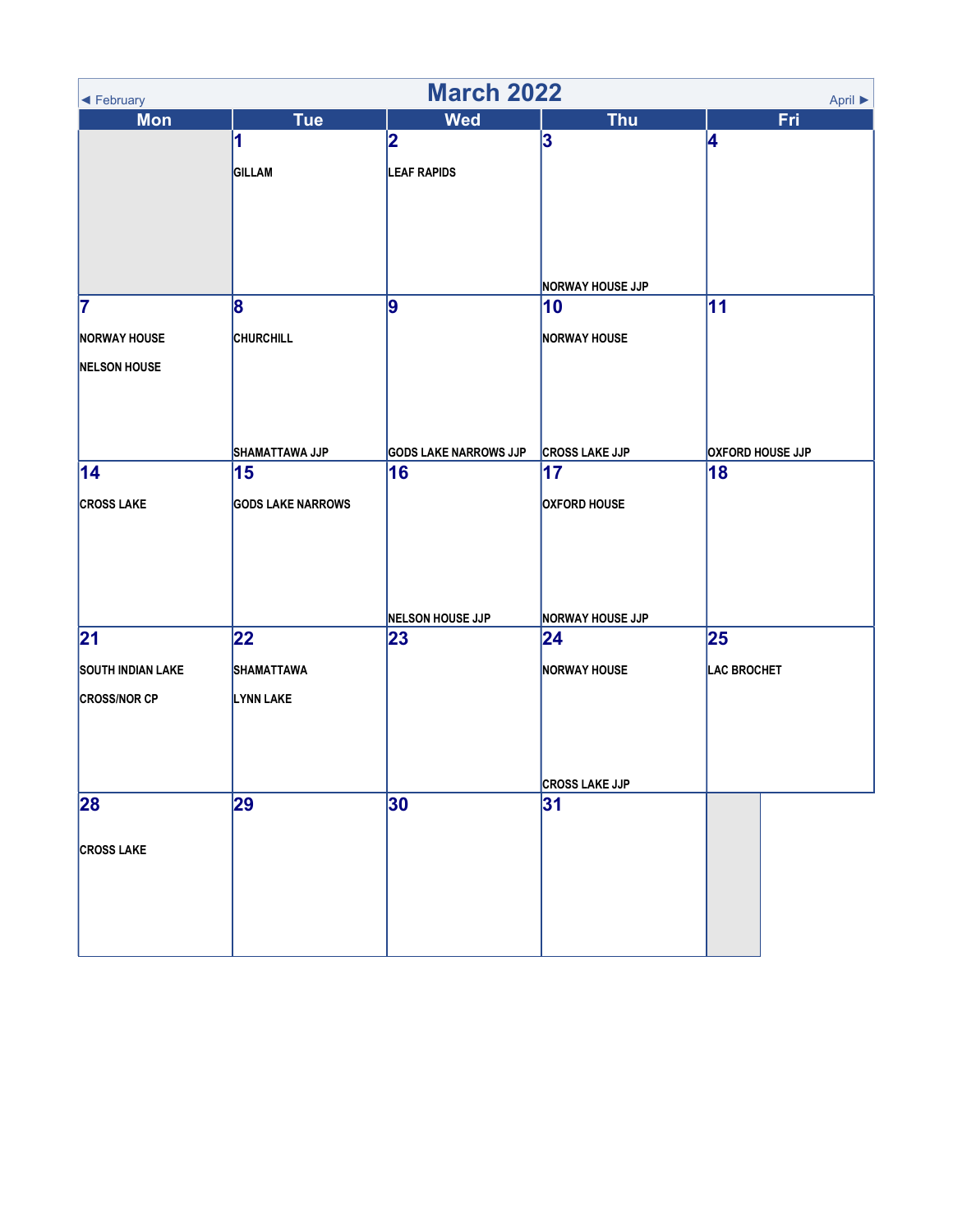| <b>March 2022</b><br>April $\blacktriangleright$<br>◀ February |                          |                               |                                |                         |  |
|----------------------------------------------------------------|--------------------------|-------------------------------|--------------------------------|-------------------------|--|
| <b>Mon</b>                                                     | <b>Tue</b>               | <b>Wed</b>                    | <b>Thu</b>                     | Fri                     |  |
|                                                                | 1                        | 2                             | 3                              | 4                       |  |
|                                                                | GILLAM                   | <b>LEAF RAPIDS</b>            |                                |                         |  |
|                                                                |                          |                               |                                |                         |  |
|                                                                |                          |                               |                                |                         |  |
|                                                                |                          |                               |                                |                         |  |
|                                                                |                          |                               |                                |                         |  |
|                                                                |                          |                               | <b>NORWAY HOUSE JJP</b>        |                         |  |
| 7                                                              | 8                        | 9                             | 10                             | 11                      |  |
|                                                                | <b>CHURCHILL</b>         |                               | <b>NORWAY HOUSE</b>            |                         |  |
| <b>NORWAY HOUSE</b>                                            |                          |                               |                                |                         |  |
| <b>NELSON HOUSE</b>                                            |                          |                               |                                |                         |  |
|                                                                |                          |                               |                                |                         |  |
|                                                                |                          |                               |                                |                         |  |
|                                                                | SHAMATTAWA JJP           | <b>GODS LAKE NARROWS JJP</b>  | <b>CROSS LAKE JJP</b>          | <b>OXFORD HOUSE JJP</b> |  |
| 14                                                             | 15                       | 16                            | 17                             | 18                      |  |
|                                                                |                          |                               |                                |                         |  |
| <b>CROSS LAKE</b>                                              | <b>GODS LAKE NARROWS</b> |                               | <b>OXFORD HOUSE</b>            |                         |  |
|                                                                |                          |                               |                                |                         |  |
|                                                                |                          |                               |                                |                         |  |
|                                                                |                          |                               |                                |                         |  |
|                                                                |                          |                               |                                |                         |  |
| 21                                                             | 22                       | <b>NELSON HOUSE JJP</b><br>23 | <b>NORWAY HOUSE JJP</b><br> 24 | 25                      |  |
|                                                                |                          |                               |                                |                         |  |
| <b>SOUTH INDIAN LAKE</b>                                       | SHAMATTAWA               |                               | <b>NORWAY HOUSE</b>            | <b>LAC BROCHET</b>      |  |
| <b>CROSS/NOR CP</b>                                            | LYNN LAKE                |                               |                                |                         |  |
|                                                                |                          |                               |                                |                         |  |
|                                                                |                          |                               |                                |                         |  |
|                                                                |                          |                               |                                |                         |  |
|                                                                |                          |                               | <b>CROSS LAKE JJP</b>          |                         |  |
| 28                                                             | 29                       | 30                            | 31                             |                         |  |
|                                                                |                          |                               |                                |                         |  |
| <b>CROSS LAKE</b>                                              |                          |                               |                                |                         |  |
|                                                                |                          |                               |                                |                         |  |
|                                                                |                          |                               |                                |                         |  |
|                                                                |                          |                               |                                |                         |  |
|                                                                |                          |                               |                                |                         |  |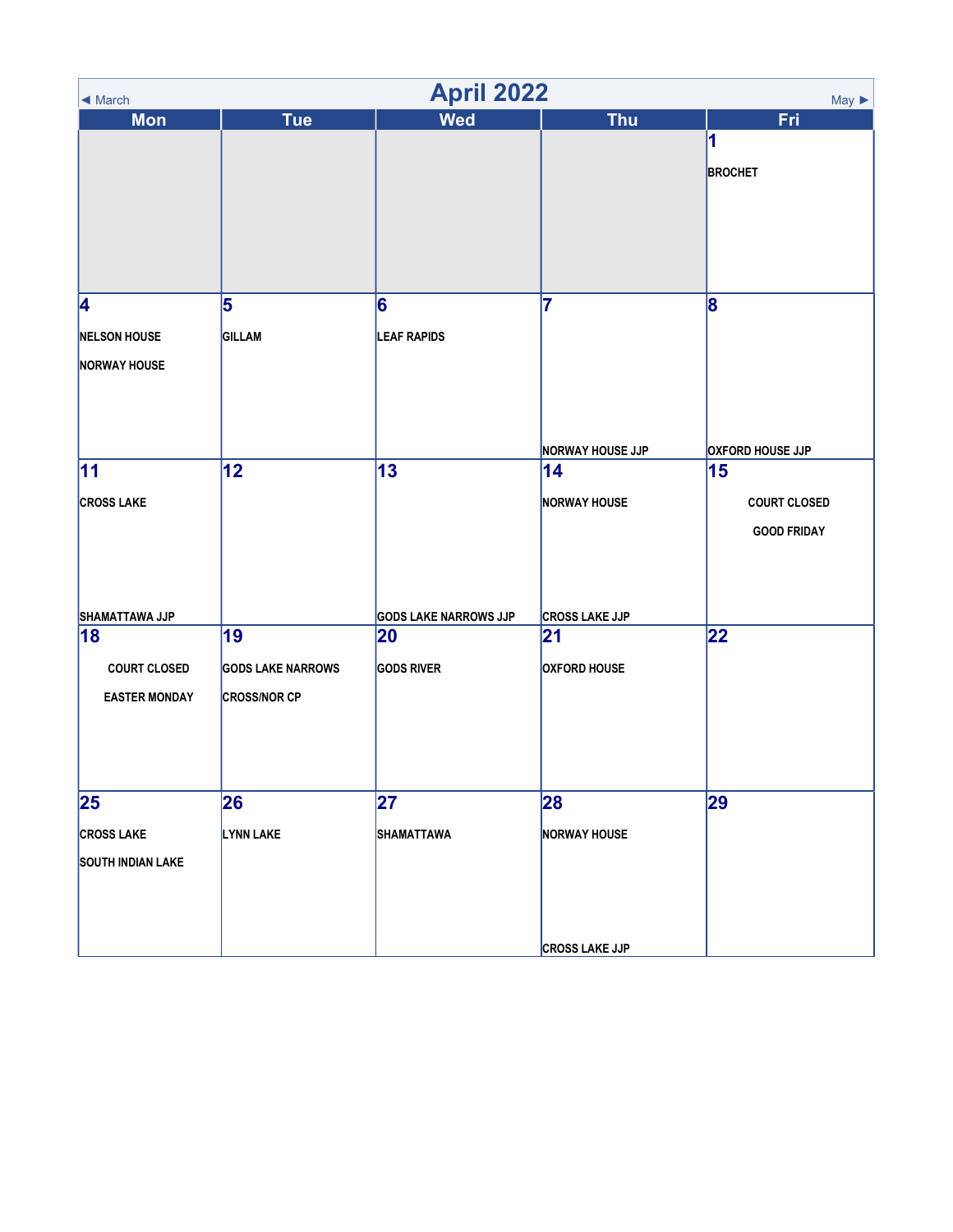| <b>April 2022</b><br>$May \triangleright$<br>$\triangleleft$ March |                          |                              |                         |                         |  |
|--------------------------------------------------------------------|--------------------------|------------------------------|-------------------------|-------------------------|--|
| <b>Mon</b>                                                         | <b>Tue</b>               | <b>Wed</b>                   | <b>Thu</b>              | Fri                     |  |
|                                                                    |                          |                              |                         | 1                       |  |
|                                                                    |                          |                              |                         | <b>BROCHET</b>          |  |
|                                                                    |                          |                              |                         |                         |  |
|                                                                    |                          |                              |                         |                         |  |
|                                                                    |                          |                              |                         |                         |  |
|                                                                    |                          |                              |                         |                         |  |
| 4                                                                  | 5                        | 6                            | 7                       | 8                       |  |
| <b>NELSON HOUSE</b>                                                | <b>GILLAM</b>            | <b>LEAF RAPIDS</b>           |                         |                         |  |
|                                                                    |                          |                              |                         |                         |  |
| <b>NORWAY HOUSE</b>                                                |                          |                              |                         |                         |  |
|                                                                    |                          |                              |                         |                         |  |
|                                                                    |                          |                              |                         |                         |  |
|                                                                    |                          |                              | <b>NORWAY HOUSE JJP</b> | <b>OXFORD HOUSE JJP</b> |  |
| 11                                                                 | 12                       | 13                           | 14                      | 15                      |  |
| <b>CROSS LAKE</b>                                                  |                          |                              | <b>NORWAY HOUSE</b>     | <b>COURT CLOSED</b>     |  |
|                                                                    |                          |                              |                         | <b>GOOD FRIDAY</b>      |  |
|                                                                    |                          |                              |                         |                         |  |
|                                                                    |                          |                              |                         |                         |  |
| SHAMATTAWA JJP                                                     |                          | <b>GODS LAKE NARROWS JJP</b> | <b>CROSS LAKE JJP</b>   |                         |  |
| 18                                                                 | 19                       | 20                           | 21                      | 22                      |  |
| <b>COURT CLOSED</b>                                                | <b>GODS LAKE NARROWS</b> | <b>GODS RIVER</b>            | <b>OXFORD HOUSE</b>     |                         |  |
| <b>EASTER MONDAY</b>                                               | <b>CROSS/NOR CP</b>      |                              |                         |                         |  |
|                                                                    |                          |                              |                         |                         |  |
|                                                                    |                          |                              |                         |                         |  |
|                                                                    |                          |                              |                         |                         |  |
| 25                                                                 | 26                       | 27                           | 28                      | 29                      |  |
|                                                                    |                          |                              |                         |                         |  |
| <b>CROSS LAKE</b>                                                  | LYNN LAKE                | SHAMATTAWA                   | <b>NORWAY HOUSE</b>     |                         |  |
| <b>SOUTH INDIAN LAKE</b>                                           |                          |                              |                         |                         |  |
|                                                                    |                          |                              |                         |                         |  |
|                                                                    |                          |                              |                         |                         |  |
|                                                                    |                          |                              | <b>CROSS LAKE JJP</b>   |                         |  |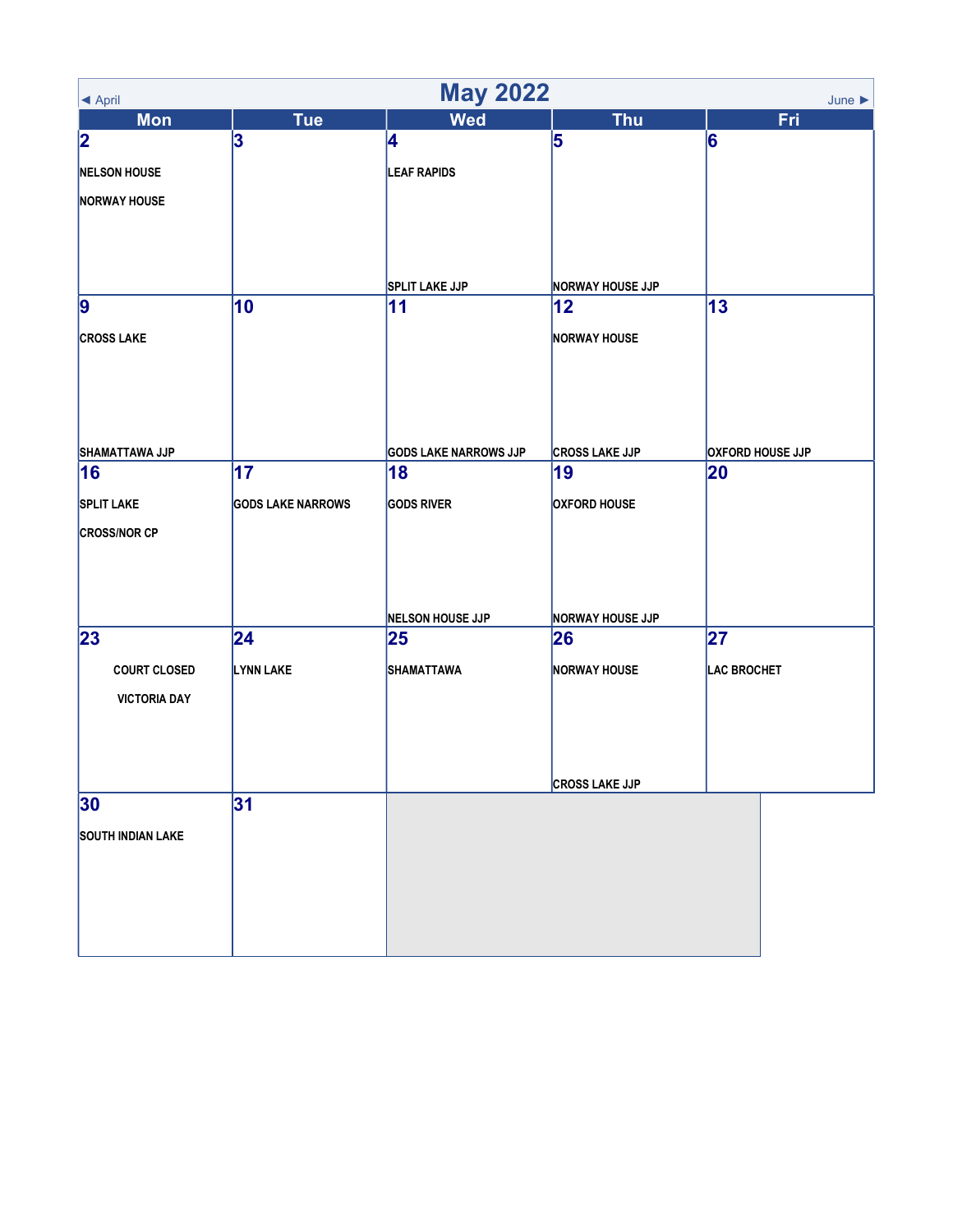| <b>May 2022</b><br>June $\blacktriangleright$<br>◀ April |                          |                              |                         |                         |
|----------------------------------------------------------|--------------------------|------------------------------|-------------------------|-------------------------|
| <b>Mon</b>                                               | <b>Tue</b>               | <b>Wed</b>                   | <b>Thu</b>              | Fri                     |
| $\overline{\mathbf{2}}$                                  | 3                        | 4                            | 5                       | 6                       |
| <b>NELSON HOUSE</b>                                      |                          | <b>LEAF RAPIDS</b>           |                         |                         |
| <b>NORWAY HOUSE</b>                                      |                          |                              |                         |                         |
|                                                          |                          |                              |                         |                         |
|                                                          |                          |                              |                         |                         |
|                                                          |                          | <b>SPLIT LAKE JJP</b>        | <b>NORWAY HOUSE JJP</b> |                         |
| 9                                                        | 10                       | 11                           | $ 12\rangle$            | 13                      |
| <b>CROSS LAKE</b>                                        |                          |                              | <b>NORWAY HOUSE</b>     |                         |
|                                                          |                          |                              |                         |                         |
|                                                          |                          |                              |                         |                         |
|                                                          |                          |                              |                         |                         |
| SHAMATTAWA JJP                                           |                          | <b>GODS LAKE NARROWS JJP</b> | <b>CROSS LAKE JJP</b>   | <b>OXFORD HOUSE JJP</b> |
| 16                                                       | 17                       | 18                           | 19                      | 20                      |
| <b>SPLIT LAKE</b>                                        | <b>GODS LAKE NARROWS</b> | <b>GODS RIVER</b>            | <b>OXFORD HOUSE</b>     |                         |
| <b>CROSS/NOR CP</b>                                      |                          |                              |                         |                         |
|                                                          |                          |                              |                         |                         |
|                                                          |                          |                              |                         |                         |
|                                                          |                          | NELSON HOUSE JJP             | <b>NORWAY HOUSE JJP</b> |                         |
| 23                                                       | 24                       | 25                           | 26                      | 27                      |
| <b>COURT CLOSED</b>                                      | <b>LYNN LAKE</b>         | <b>SHAMATTAWA</b>            | <b>NORWAY HOUSE</b>     | LAC BROCHET             |
| <b>VICTORIA DAY</b>                                      |                          |                              |                         |                         |
|                                                          |                          |                              |                         |                         |
|                                                          |                          |                              |                         |                         |
|                                                          |                          |                              | <b>CROSS LAKE JJP</b>   |                         |
| 30                                                       | 31                       |                              |                         |                         |
| <b>SOUTH INDIAN LAKE</b>                                 |                          |                              |                         |                         |
|                                                          |                          |                              |                         |                         |
|                                                          |                          |                              |                         |                         |
|                                                          |                          |                              |                         |                         |
|                                                          |                          |                              |                         |                         |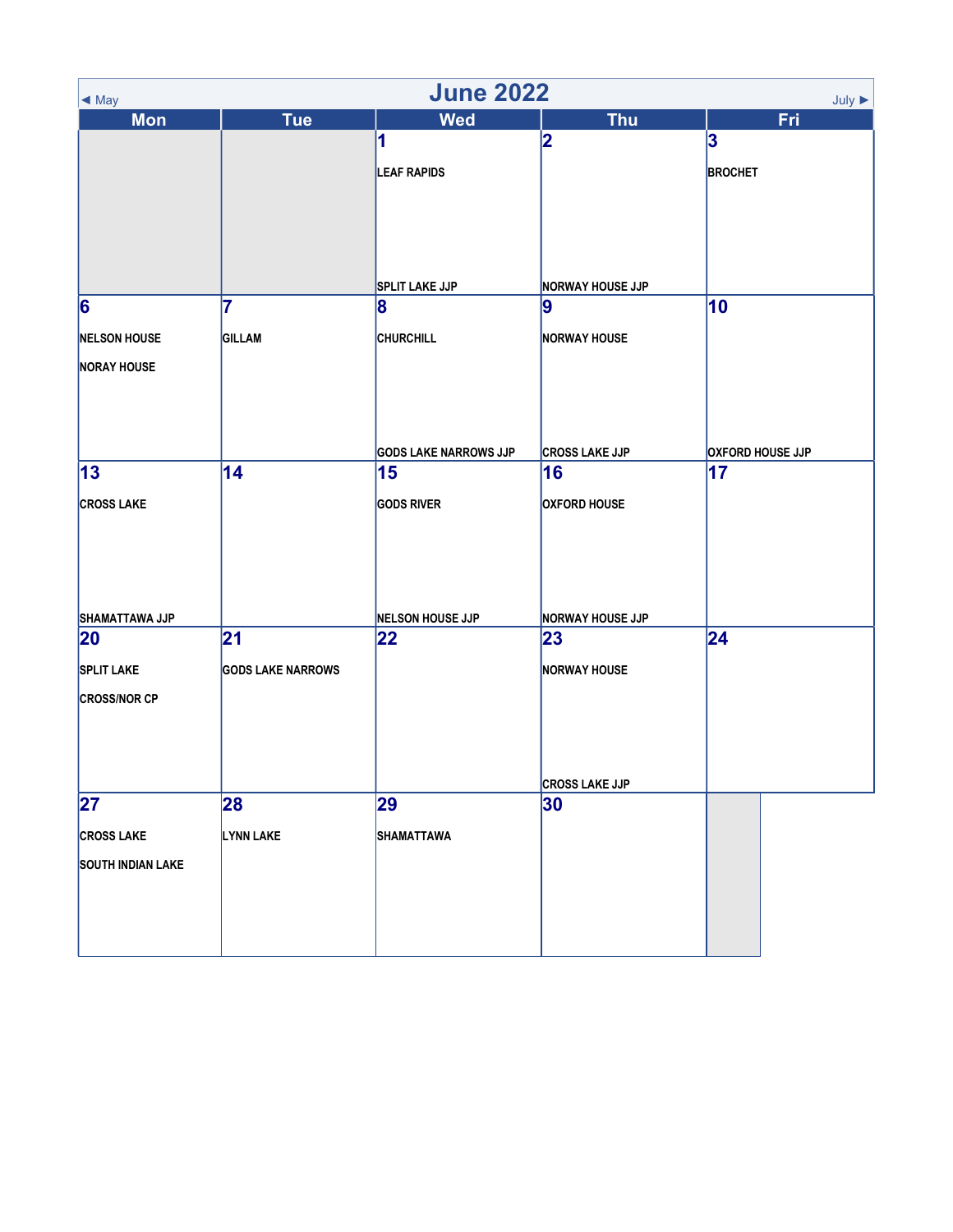| <b>June 2022</b><br>$July \triangleright$<br>$\blacktriangleleft$ May |                          |                               |                               |                                |
|-----------------------------------------------------------------------|--------------------------|-------------------------------|-------------------------------|--------------------------------|
| <b>Mon</b>                                                            | <b>Tue</b>               | <b>Wed</b>                    | <b>Thu</b>                    | <b>Fri</b>                     |
|                                                                       |                          | 1                             | 2                             | 3                              |
|                                                                       |                          | <b>LEAF RAPIDS</b>            |                               | <b>BROCHET</b>                 |
|                                                                       |                          |                               |                               |                                |
|                                                                       |                          |                               |                               |                                |
|                                                                       |                          |                               |                               |                                |
|                                                                       |                          |                               |                               |                                |
|                                                                       |                          | <b>SPLIT LAKE JJP</b>         | <b>NORWAY HOUSE JJP</b>       |                                |
| 6                                                                     | 7                        | 8                             | 9                             | 10                             |
| <b>NELSON HOUSE</b>                                                   | GILLAM                   | <b>CHURCHILL</b>              | <b>NORWAY HOUSE</b>           |                                |
| <b>NORAY HOUSE</b>                                                    |                          |                               |                               |                                |
|                                                                       |                          |                               |                               |                                |
|                                                                       |                          |                               |                               |                                |
|                                                                       |                          |                               |                               |                                |
|                                                                       | 14                       | <b>GODS LAKE NARROWS JJP</b>  | <b>CROSS LAKE JJP</b>         | <b>OXFORD HOUSE JJP</b><br> 17 |
| 13                                                                    |                          | 15                            | 16                            |                                |
| <b>CROSS LAKE</b>                                                     |                          | <b>GODS RIVER</b>             | <b>OXFORD HOUSE</b>           |                                |
|                                                                       |                          |                               |                               |                                |
|                                                                       |                          |                               |                               |                                |
|                                                                       |                          |                               |                               |                                |
|                                                                       |                          |                               |                               |                                |
| SHAMATTAWA JJP<br>20                                                  | 21                       | <b>NELSON HOUSE JJP</b><br>22 | <b>NORWAY HOUSE JJP</b><br>23 | 24                             |
|                                                                       |                          |                               |                               |                                |
| <b>SPLIT LAKE</b>                                                     | <b>GODS LAKE NARROWS</b> |                               | <b>NORWAY HOUSE</b>           |                                |
| <b>CROSS/NOR CP</b>                                                   |                          |                               |                               |                                |
|                                                                       |                          |                               |                               |                                |
|                                                                       |                          |                               |                               |                                |
|                                                                       |                          |                               | <b>CROSS LAKE JJP</b>         |                                |
| $\overline{27}$                                                       | 28                       | 29                            | 30                            |                                |
| <b>CROSS LAKE</b>                                                     | LYNN LAKE                | SHAMATTAWA                    |                               |                                |
|                                                                       |                          |                               |                               |                                |
| <b>SOUTH INDIAN LAKE</b>                                              |                          |                               |                               |                                |
|                                                                       |                          |                               |                               |                                |
|                                                                       |                          |                               |                               |                                |
|                                                                       |                          |                               |                               |                                |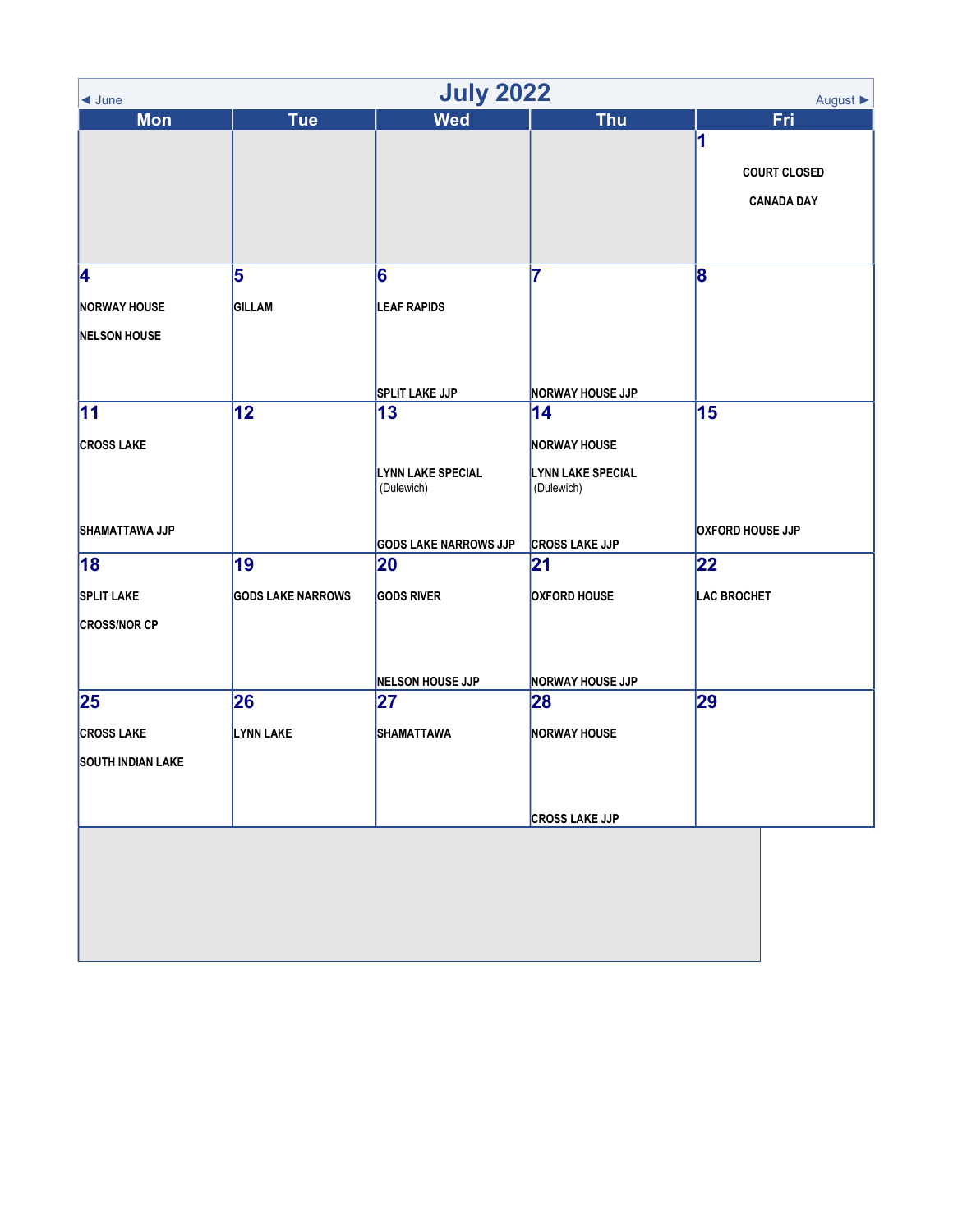| <b>July 2022</b><br>August ▶<br>$\blacktriangleleft$ June |                          |                              |                          |                         |  |
|-----------------------------------------------------------|--------------------------|------------------------------|--------------------------|-------------------------|--|
| <b>Mon</b>                                                | <b>Tue</b>               | <b>Wed</b>                   | <b>Thu</b>               | Fri                     |  |
|                                                           |                          |                              |                          | 1                       |  |
|                                                           |                          |                              |                          | <b>COURT CLOSED</b>     |  |
|                                                           |                          |                              |                          | <b>CANADA DAY</b>       |  |
|                                                           |                          |                              |                          |                         |  |
|                                                           |                          |                              |                          |                         |  |
| 4                                                         | 5                        | 6                            | 7                        | 8                       |  |
| <b>NORWAY HOUSE</b>                                       | <b>GILLAM</b>            | <b>LEAF RAPIDS</b>           |                          |                         |  |
| <b>NELSON HOUSE</b>                                       |                          |                              |                          |                         |  |
|                                                           |                          |                              |                          |                         |  |
|                                                           |                          | <b>SPLIT LAKE JJP</b>        | <b>NORWAY HOUSE JJP</b>  |                         |  |
| 11                                                        | 12                       | $\vert$ 13                   | 14                       | 15                      |  |
| <b>CROSS LAKE</b>                                         |                          |                              | <b>NORWAY HOUSE</b>      |                         |  |
|                                                           |                          | <b>LYNN LAKE SPECIAL</b>     | <b>LYNN LAKE SPECIAL</b> |                         |  |
|                                                           |                          | (Dulewich)                   | (Dulewich)               |                         |  |
|                                                           |                          |                              |                          | <b>OXFORD HOUSE JJP</b> |  |
| SHAMATTAWA JJP                                            |                          | <b>GODS LAKE NARROWS JJP</b> | <b>CROSS LAKE JJP</b>    |                         |  |
| 18                                                        | 19                       | 20                           | 21                       | 22                      |  |
| <b>SPLIT LAKE</b>                                         | <b>GODS LAKE NARROWS</b> | <b>GODS RIVER</b>            | <b>OXFORD HOUSE</b>      | <b>LAC BROCHET</b>      |  |
| <b>CROSS/NOR CP</b>                                       |                          |                              |                          |                         |  |
|                                                           |                          |                              |                          |                         |  |
|                                                           |                          | NELSON HOUSE JJP             | <b>NORWAY HOUSE JJP</b>  |                         |  |
| 25                                                        | 26                       | 27                           | 28                       | 29                      |  |
| <b>CROSS LAKE</b>                                         | LYNN LAKE                | SHAMATTAWA                   | <b>NORWAY HOUSE</b>      |                         |  |
| <b>SOUTH INDIAN LAKE</b>                                  |                          |                              |                          |                         |  |
|                                                           |                          |                              |                          |                         |  |
|                                                           |                          |                              |                          |                         |  |
|                                                           |                          |                              | <b>CROSS LAKE JJP</b>    |                         |  |
|                                                           |                          |                              |                          |                         |  |
|                                                           |                          |                              |                          |                         |  |
|                                                           |                          |                              |                          |                         |  |
|                                                           |                          |                              |                          |                         |  |
|                                                           |                          |                              |                          |                         |  |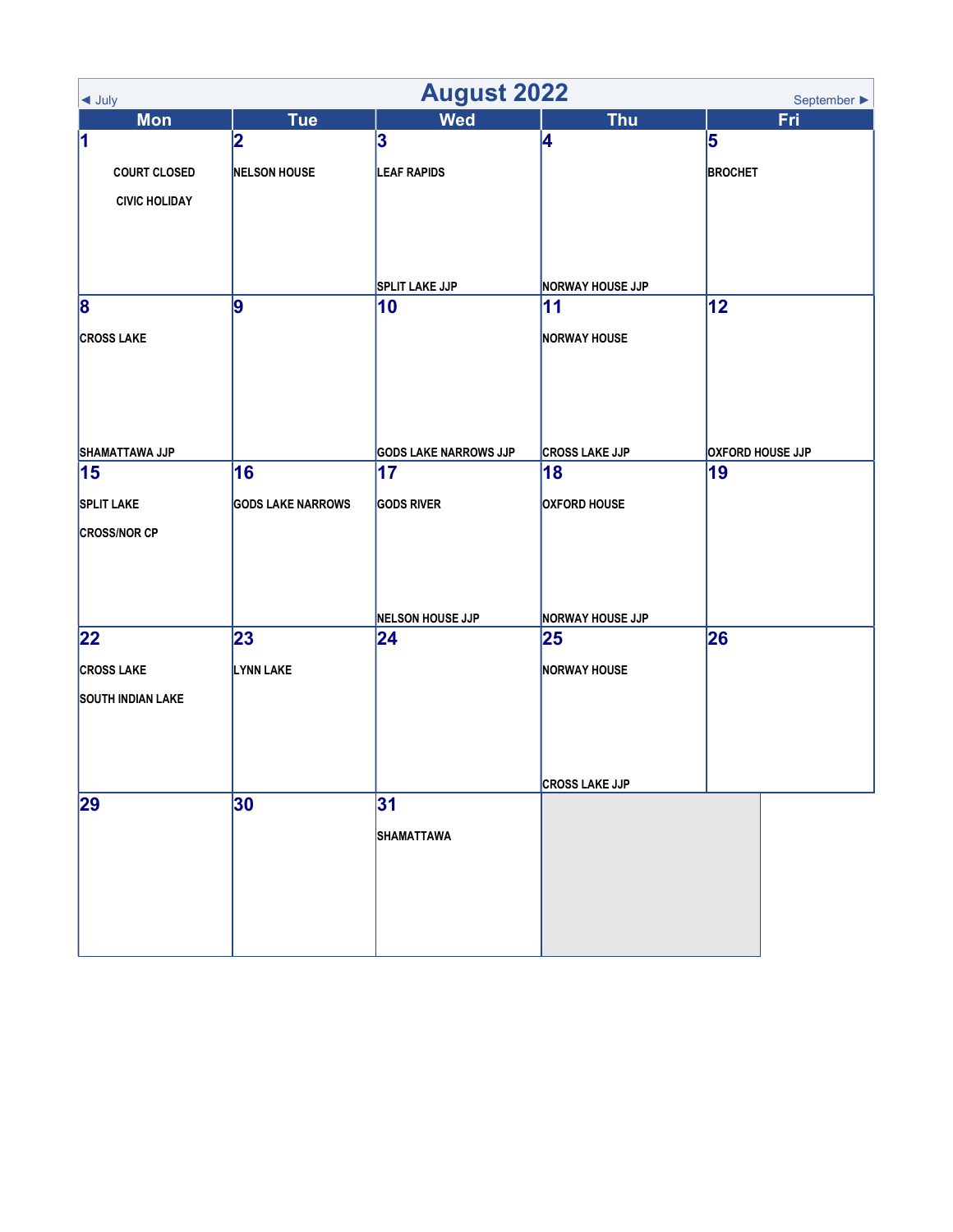| <b>August 2022</b><br>September $\blacktriangleright$<br>$\blacktriangleleft$ July |                          |                              |                         |                         |
|------------------------------------------------------------------------------------|--------------------------|------------------------------|-------------------------|-------------------------|
| <b>Mon</b>                                                                         | <b>Tue</b>               | <b>Wed</b>                   | <b>Thu</b>              | Fri                     |
| 1                                                                                  | 2                        | 3                            | 4                       | 5                       |
| <b>COURT CLOSED</b>                                                                | <b>NELSON HOUSE</b>      | <b>LEAF RAPIDS</b>           |                         | <b>BROCHET</b>          |
| <b>CIVIC HOLIDAY</b>                                                               |                          |                              |                         |                         |
|                                                                                    |                          |                              |                         |                         |
|                                                                                    |                          |                              |                         |                         |
|                                                                                    |                          | <b>SPLIT LAKE JJP</b>        | <b>NORWAY HOUSE JJP</b> |                         |
| 8                                                                                  | 9                        | 10                           | 11                      | 12                      |
| <b>CROSS LAKE</b>                                                                  |                          |                              | <b>NORWAY HOUSE</b>     |                         |
|                                                                                    |                          |                              |                         |                         |
|                                                                                    |                          |                              |                         |                         |
|                                                                                    |                          |                              |                         |                         |
| SHAMATTAWA JJP                                                                     |                          | <b>GODS LAKE NARROWS JJP</b> | <b>CROSS LAKE JJP</b>   | <b>OXFORD HOUSE JJP</b> |
| 15                                                                                 | 16                       | 17                           | 18                      | 19                      |
| <b>SPLIT LAKE</b>                                                                  | <b>GODS LAKE NARROWS</b> | <b>GODS RIVER</b>            | <b>OXFORD HOUSE</b>     |                         |
| <b>CROSS/NOR CP</b>                                                                |                          |                              |                         |                         |
|                                                                                    |                          |                              |                         |                         |
|                                                                                    |                          |                              |                         |                         |
|                                                                                    |                          | <b>NELSON HOUSE JJP</b>      | <b>NORWAY HOUSE JJP</b> |                         |
| 22                                                                                 | 23                       | 24                           | 25                      | 26                      |
| <b>CROSS LAKE</b>                                                                  | LYNN LAKE                |                              | <b>NORWAY HOUSE</b>     |                         |
| <b>SOUTH INDIAN LAKE</b>                                                           |                          |                              |                         |                         |
|                                                                                    |                          |                              |                         |                         |
|                                                                                    |                          |                              |                         |                         |
|                                                                                    |                          |                              | <b>CROSS LAKE JJP</b>   |                         |
| 29                                                                                 | 30                       | 31                           |                         |                         |
|                                                                                    |                          | <b>SHAMATTAWA</b>            |                         |                         |
|                                                                                    |                          |                              |                         |                         |
|                                                                                    |                          |                              |                         |                         |
|                                                                                    |                          |                              |                         |                         |
|                                                                                    |                          |                              |                         |                         |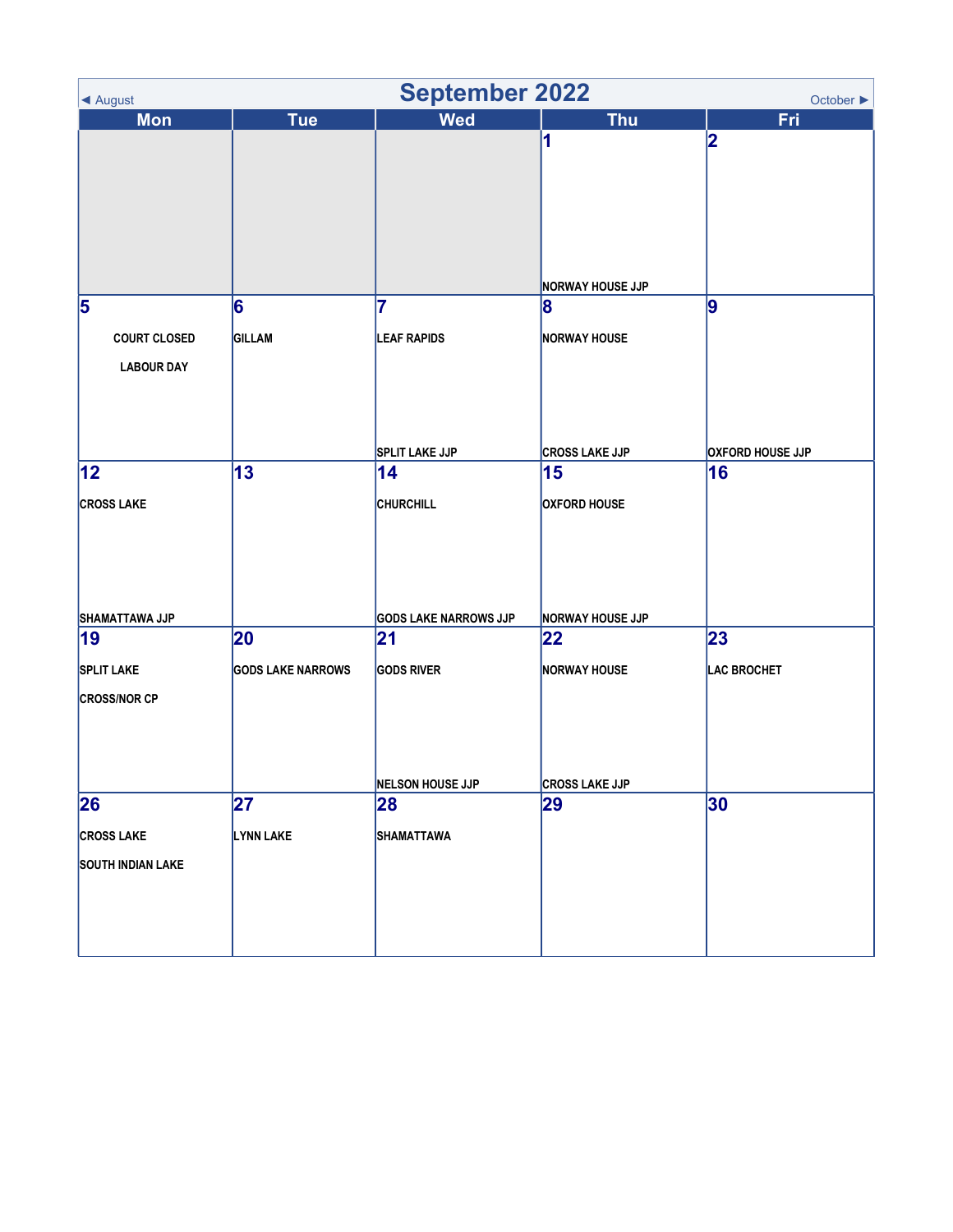| <b>September 2022</b><br>October $\blacktriangleright$<br>◀ August |                          |                              |                         |                         |
|--------------------------------------------------------------------|--------------------------|------------------------------|-------------------------|-------------------------|
| <b>Mon</b>                                                         | <b>Tue</b>               | <b>Wed</b>                   | <b>Thu</b>              | Fri                     |
|                                                                    |                          |                              | 1                       | 2                       |
|                                                                    |                          |                              |                         |                         |
|                                                                    |                          |                              |                         |                         |
|                                                                    |                          |                              |                         |                         |
|                                                                    |                          |                              |                         |                         |
|                                                                    |                          |                              |                         |                         |
|                                                                    |                          |                              | <b>NORWAY HOUSE JJP</b> |                         |
| 5                                                                  | 6                        | 7                            | 8                       | 9                       |
|                                                                    |                          |                              |                         |                         |
| <b>COURT CLOSED</b>                                                | <b>GILLAM</b>            | <b>LEAF RAPIDS</b>           | <b>NORWAY HOUSE</b>     |                         |
| <b>LABOUR DAY</b>                                                  |                          |                              |                         |                         |
|                                                                    |                          |                              |                         |                         |
|                                                                    |                          |                              |                         |                         |
|                                                                    |                          |                              |                         |                         |
|                                                                    |                          | <b>SPLIT LAKE JJP</b>        | <b>CROSS LAKE JJP</b>   | <b>OXFORD HOUSE JJP</b> |
| $ 12\rangle$                                                       | 13                       | 14                           | 15                      | 16                      |
| <b>CROSS LAKE</b>                                                  |                          | <b>CHURCHILL</b>             | <b>OXFORD HOUSE</b>     |                         |
|                                                                    |                          |                              |                         |                         |
|                                                                    |                          |                              |                         |                         |
|                                                                    |                          |                              |                         |                         |
|                                                                    |                          |                              |                         |                         |
| SHAMATTAWA JJP                                                     |                          | <b>GODS LAKE NARROWS JJP</b> | <b>NORWAY HOUSE JJP</b> |                         |
| 19                                                                 | 20                       | 21                           | 22                      | 23                      |
| <b>SPLIT LAKE</b>                                                  | <b>GODS LAKE NARROWS</b> | <b>GODS RIVER</b>            | <b>NORWAY HOUSE</b>     | <b>LAC BROCHET</b>      |
| <b>CROSS/NOR CP</b>                                                |                          |                              |                         |                         |
|                                                                    |                          |                              |                         |                         |
|                                                                    |                          |                              |                         |                         |
|                                                                    |                          |                              |                         |                         |
|                                                                    |                          | NELSON HOUSE JJP             | <b>CROSS LAKE JJP</b>   |                         |
| 26                                                                 | 27                       | 28                           | 29                      | 30                      |
| <b>CROSS LAKE</b>                                                  | LYNN LAKE                | <b>SHAMATTAWA</b>            |                         |                         |
|                                                                    |                          |                              |                         |                         |
| <b>SOUTH INDIAN LAKE</b>                                           |                          |                              |                         |                         |
|                                                                    |                          |                              |                         |                         |
|                                                                    |                          |                              |                         |                         |
|                                                                    |                          |                              |                         |                         |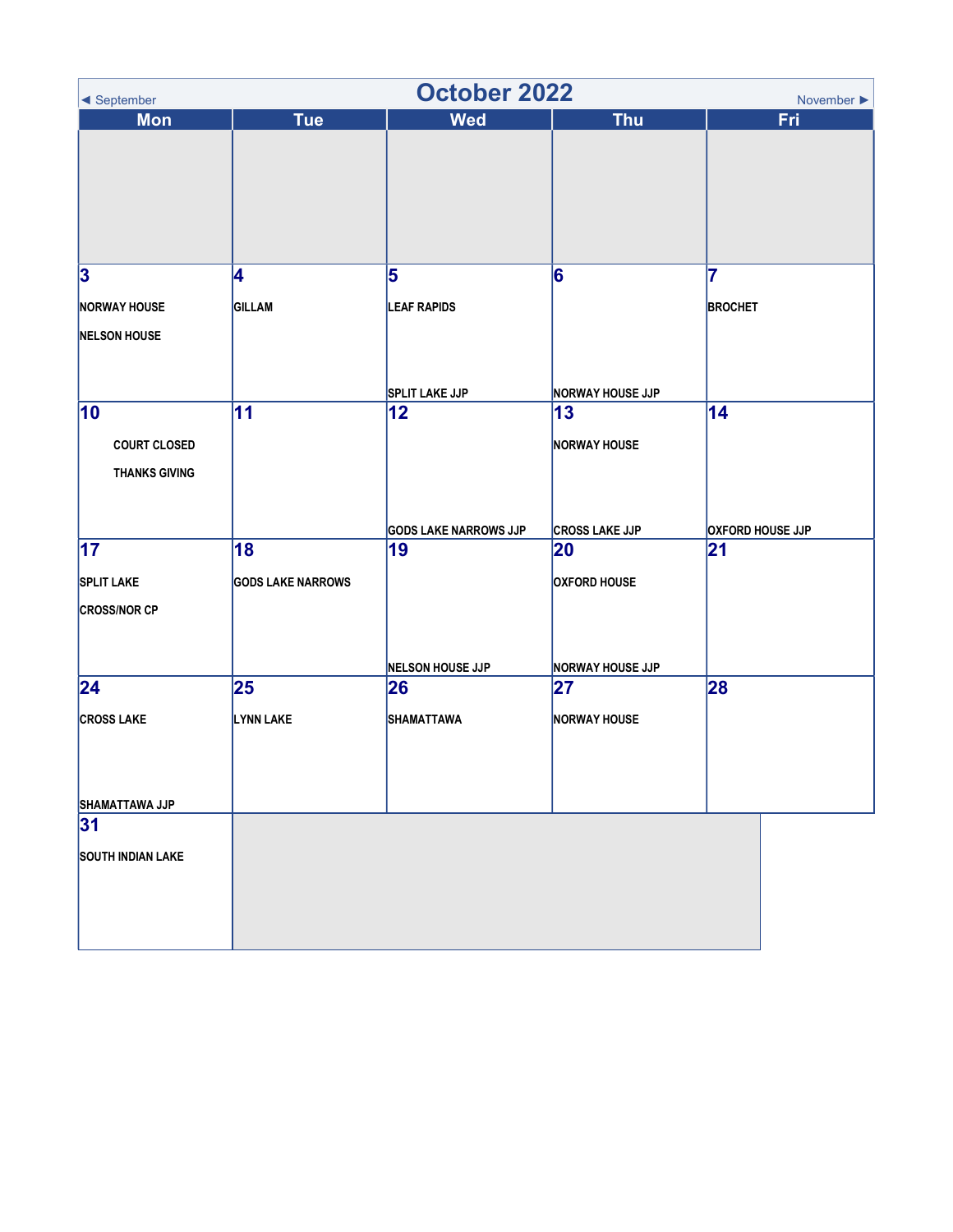| <b>October 2022</b><br>◀ September<br>November $\blacktriangleright$ |                          |                              |                         |                         |  |
|----------------------------------------------------------------------|--------------------------|------------------------------|-------------------------|-------------------------|--|
| <b>Mon</b>                                                           | <b>Tue</b>               | <b>Wed</b>                   | <b>Thu</b>              | Fri                     |  |
|                                                                      |                          |                              |                         |                         |  |
| 3                                                                    | 4                        | 5                            | 6                       | 7                       |  |
| <b>NORWAY HOUSE</b>                                                  | <b>GILLAM</b>            | <b>LEAF RAPIDS</b>           |                         | <b>BROCHET</b>          |  |
| <b>NELSON HOUSE</b>                                                  |                          |                              |                         |                         |  |
|                                                                      |                          | <b>SPLIT LAKE JJP</b>        | <b>NORWAY HOUSE JJP</b> |                         |  |
| 10                                                                   | 11                       | 12                           | 13                      | 14                      |  |
| <b>COURT CLOSED</b>                                                  |                          |                              | <b>NORWAY HOUSE</b>     |                         |  |
| <b>THANKS GIVING</b>                                                 |                          |                              |                         |                         |  |
|                                                                      |                          | <b>GODS LAKE NARROWS JJP</b> | <b>CROSS LAKE JJP</b>   | <b>OXFORD HOUSE JJP</b> |  |
| 17                                                                   | 18                       | 19                           | 20                      | 21                      |  |
| <b>SPLIT LAKE</b>                                                    | <b>GODS LAKE NARROWS</b> |                              | <b>OXFORD HOUSE</b>     |                         |  |
| <b>CROSS/NOR CP</b>                                                  |                          |                              |                         |                         |  |
|                                                                      |                          | <b>NELSON HOUSE JJP</b>      | <b>NORWAY HOUSE JJP</b> |                         |  |
| 24                                                                   | 25                       | 26                           | 27                      | 28                      |  |
| <b>CROSS LAKE</b>                                                    | LYNN LAKE                | <b>SHAMATTAWA</b>            | <b>NORWAY HOUSE</b>     |                         |  |
| SHAMATTAWA JJP                                                       |                          |                              |                         |                         |  |
| 31                                                                   |                          |                              |                         |                         |  |
| <b>SOUTH INDIAN LAKE</b>                                             |                          |                              |                         |                         |  |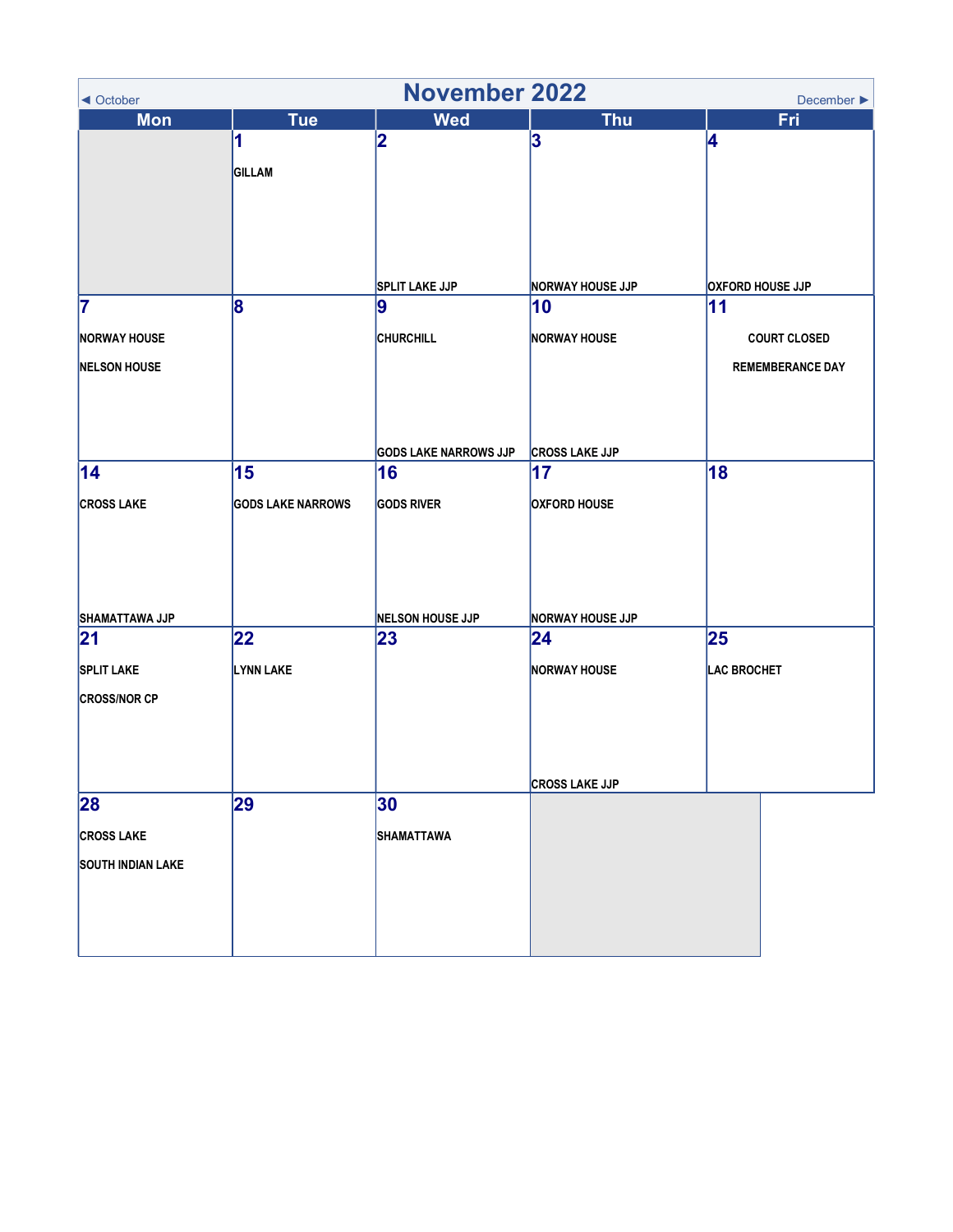| <b>November 2022</b><br>December $\blacktriangleright$<br>◀ October |                          |                                    |                             |                         |  |
|---------------------------------------------------------------------|--------------------------|------------------------------------|-----------------------------|-------------------------|--|
| <b>Mon</b>                                                          | <b>Tue</b>               | <b>Wed</b>                         | <b>Thu</b>                  | Fri                     |  |
|                                                                     | 1                        | 2                                  | 3                           | 4                       |  |
|                                                                     | GILLAM                   |                                    |                             |                         |  |
|                                                                     |                          |                                    |                             |                         |  |
|                                                                     |                          |                                    |                             |                         |  |
|                                                                     |                          |                                    |                             |                         |  |
|                                                                     |                          |                                    |                             |                         |  |
|                                                                     |                          | <b>SPLIT LAKE JJP</b>              | <b>NORWAY HOUSE JJP</b>     | <b>OXFORD HOUSE JJP</b> |  |
| 7                                                                   | 8                        | 9                                  | 10                          | 11                      |  |
|                                                                     |                          |                                    |                             |                         |  |
| <b>NORWAY HOUSE</b>                                                 |                          | <b>CHURCHILL</b>                   | <b>NORWAY HOUSE</b>         | <b>COURT CLOSED</b>     |  |
| <b>NELSON HOUSE</b>                                                 |                          |                                    |                             | <b>REMEMBERANCE DAY</b> |  |
|                                                                     |                          |                                    |                             |                         |  |
|                                                                     |                          |                                    |                             |                         |  |
|                                                                     |                          |                                    |                             |                         |  |
| 14                                                                  | 15                       | <b>GODS LAKE NARROWS JJP</b><br>16 | <b>CROSS LAKE JJP</b><br>17 | 18                      |  |
|                                                                     |                          |                                    |                             |                         |  |
| <b>CROSS LAKE</b>                                                   | <b>GODS LAKE NARROWS</b> | <b>GODS RIVER</b>                  | <b>OXFORD HOUSE</b>         |                         |  |
|                                                                     |                          |                                    |                             |                         |  |
|                                                                     |                          |                                    |                             |                         |  |
|                                                                     |                          |                                    |                             |                         |  |
|                                                                     |                          |                                    |                             |                         |  |
| SHAMATTAWA JJP                                                      |                          | <b>NELSON HOUSE JJP</b>            | <b>NORWAY HOUSE JJP</b>     |                         |  |
| 21                                                                  | 22                       | 23                                 | $ 24\rangle$                | 25                      |  |
| <b>SPLIT LAKE</b>                                                   | <b>LYNN LAKE</b>         |                                    | <b>NORWAY HOUSE</b>         | <b>LAC BROCHET</b>      |  |
| <b>CROSS/NOR CP</b>                                                 |                          |                                    |                             |                         |  |
|                                                                     |                          |                                    |                             |                         |  |
|                                                                     |                          |                                    |                             |                         |  |
|                                                                     |                          |                                    |                             |                         |  |
|                                                                     |                          |                                    | <b>CROSS LAKE JJP</b>       |                         |  |
| 28                                                                  | 29                       | 30                                 |                             |                         |  |
| <b>CROSS LAKE</b>                                                   |                          | <b>SHAMATTAWA</b>                  |                             |                         |  |
| <b>SOUTH INDIAN LAKE</b>                                            |                          |                                    |                             |                         |  |
|                                                                     |                          |                                    |                             |                         |  |
|                                                                     |                          |                                    |                             |                         |  |
|                                                                     |                          |                                    |                             |                         |  |
|                                                                     |                          |                                    |                             |                         |  |